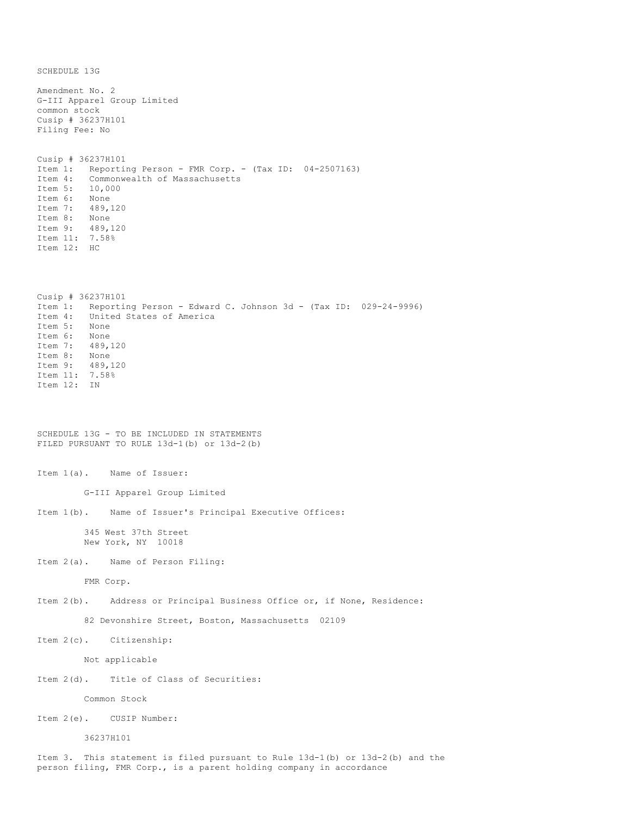SCHEDULE 13G Amendment No. 2 G-III Apparel Group Limited common stock Cusip # 36237H101 Filing Fee: No Cusip # 36237H101 Item 1: Reporting Person - FMR Corp. - (Tax ID: 04-2507163) Item 4: Commonwealth of Massachusetts Item 5: 10,000 Item 6: None Item 7: 489,120<br>Item 8: None Item 8: Item 9: 489,120 Item 11: 7.58% Item 12: HC Cusip # 36237H101 Item 1: Reporting Person - Edward C. Johnson 3d - (Tax ID: 029-24-9996)<br>Item 4: United States of America United States of America Item 5: None<br>Ttem 6: None Item 6: Item 7: 489,120 Item 8: None Item 9: 489,120 Item 11: 7.58% Item 12: IN SCHEDULE 13G - TO BE INCLUDED IN STATEMENTS FILED PURSUANT TO RULE 13d-1(b) or 13d-2(b) Item 1(a). Name of Issuer: G-III Apparel Group Limited Item 1(b). Name of Issuer's Principal Executive Offices: 345 West 37th Street New York, NY 10018 Item 2(a). Name of Person Filing: FMR Corp. Item 2(b). Address or Principal Business Office or, if None, Residence: 82 Devonshire Street, Boston, Massachusetts 02109 Item 2(c). Citizenship: Not applicable Item 2(d). Title of Class of Securities: Common Stock Item 2(e). CUSIP Number: 36237H101

Item 3. This statement is filed pursuant to Rule 13d-1(b) or 13d-2(b) and the person filing, FMR Corp., is a parent holding company in accordance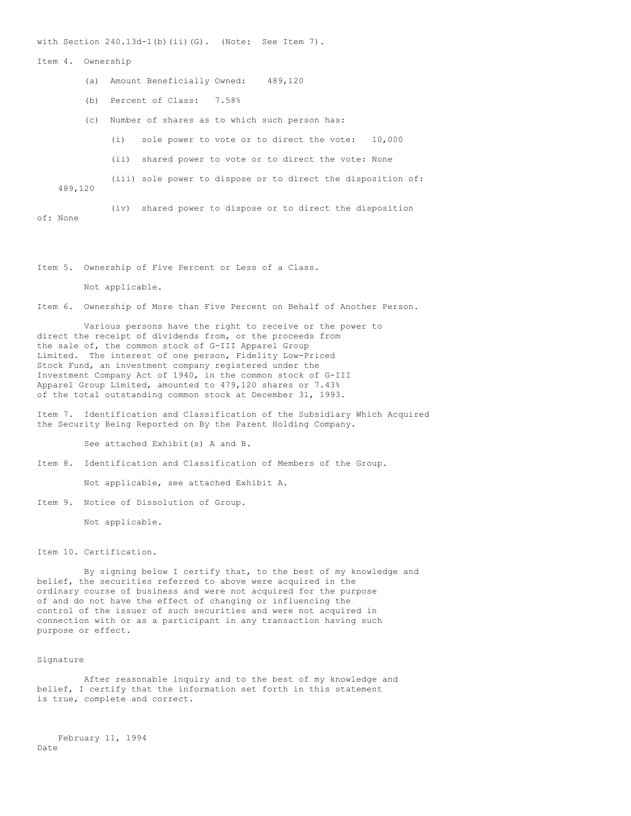with Section  $240.13d-1(b)$  (ii)(G). (Note: See Item 7).

## Item 4. Ownership

- (a) Amount Beneficially Owned: 489,120
- (b) Percent of Class: 7.58%
- (c) Number of shares as to which such person has:
	- (i) sole power to vote or to direct the vote: 10,000
	- (ii) shared power to vote or to direct the vote: None
- (iii) sole power to dispose or to direct the disposition of:

489,120

(iv) shared power to dispose or to direct the disposition

of: None

Item 5. Ownership of Five Percent or Less of a Class.

Not applicable.

Item 6. Ownership of More than Five Percent on Behalf of Another Person.

Various persons have the right to receive or the power to direct the receipt of dividends from, or the proceeds from the sale of, the common stock of G-III Apparel Group Limited. The interest of one person, Fidelity Low-Priced Stock Fund, an investment company registered under the Investment Company Act of 1940, in the common stock of G-III Apparel Group Limited, amounted to 479,120 shares or 7.43% of the total outstanding common stock at December 31, 1993.

Item 7. Identification and Classification of the Subsidiary Which Acquired the Security Being Reported on By the Parent Holding Company.

See attached Exhibit(s) A and B.

Item 8. Identification and Classification of Members of the Group.

Not applicable, see attached Exhibit A.

Item 9. Notice of Dissolution of Group.

Not applicable.

Item 10. Certification.

By signing below I certify that, to the best of my knowledge and belief, the securities referred to above were acquired in the ordinary course of business and were not acquired for the purpose of and do not have the effect of changing or influencing the control of the issuer of such securities and were not acquired in connection with or as a participant in any transaction having such purpose or effect.

## Signature

After reasonable inquiry and to the best of my knowledge and belief, I certify that the information set forth in this statement is true, complete and correct.

February 11, 1994 Date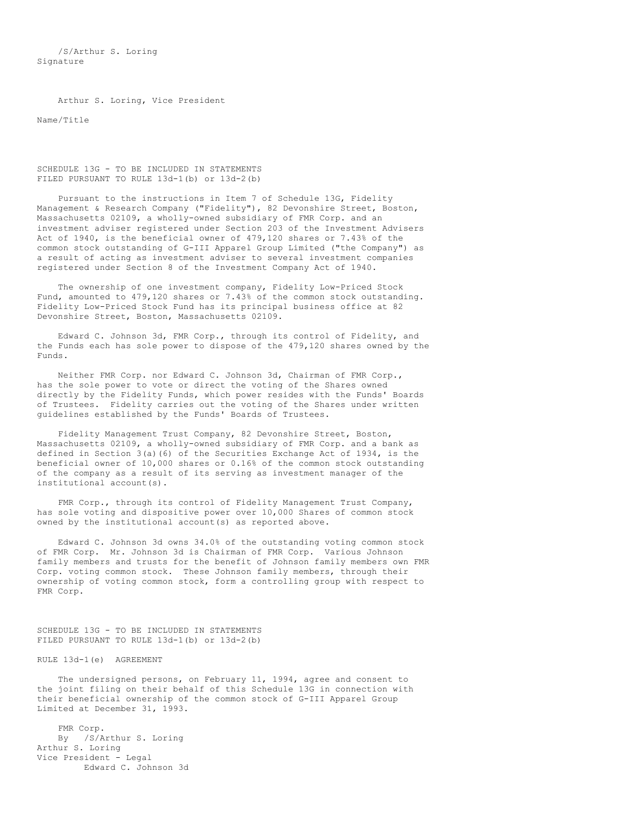/S/Arthur S. Loring Signature

Arthur S. Loring, Vice President

Name/Title

SCHEDULE 13G - TO BE INCLUDED IN STATEMENTS FILED PURSUANT TO RULE 13d-1(b) or 13d-2(b)

Pursuant to the instructions in Item 7 of Schedule 13G, Fidelity Management & Research Company ("Fidelity"), 82 Devonshire Street, Boston, Massachusetts 02109, a wholly-owned subsidiary of FMR Corp. and an investment adviser registered under Section 203 of the Investment Advisers Act of 1940, is the beneficial owner of 479,120 shares or 7.43% of the common stock outstanding of G-III Apparel Group Limited ("the Company") as a result of acting as investment adviser to several investment companies registered under Section 8 of the Investment Company Act of 1940.

The ownership of one investment company, Fidelity Low-Priced Stock Fund, amounted to 479,120 shares or 7.43% of the common stock outstanding. Fidelity Low-Priced Stock Fund has its principal business office at 82 Devonshire Street, Boston, Massachusetts 02109.

Edward C. Johnson 3d, FMR Corp., through its control of Fidelity, and the Funds each has sole power to dispose of the 479,120 shares owned by the Funds.

Neither FMR Corp. nor Edward C. Johnson 3d, Chairman of FMR Corp., has the sole power to vote or direct the voting of the Shares owned directly by the Fidelity Funds, which power resides with the Funds' Boards of Trustees. Fidelity carries out the voting of the Shares under written guidelines established by the Funds' Boards of Trustees.

Fidelity Management Trust Company, 82 Devonshire Street, Boston, Massachusetts 02109, a wholly-owned subsidiary of FMR Corp. and a bank as defined in Section  $3(a)$  (6) of the Securities Exchange Act of 1934, is the beneficial owner of 10,000 shares or 0.16% of the common stock outstanding of the company as a result of its serving as investment manager of the institutional account(s).

FMR Corp., through its control of Fidelity Management Trust Company, has sole voting and dispositive power over 10,000 Shares of common stock owned by the institutional account(s) as reported above.

Edward C. Johnson 3d owns 34.0% of the outstanding voting common stock of FMR Corp. Mr. Johnson 3d is Chairman of FMR Corp. Various Johnson family members and trusts for the benefit of Johnson family members own FMR Corp. voting common stock. These Johnson family members, through their ownership of voting common stock, form a controlling group with respect to FMR Corp.

SCHEDULE 13G - TO BE INCLUDED IN STATEMENTS FILED PURSUANT TO RULE 13d-1(b) or 13d-2(b)

RULE 13d-1(e) AGREEMENT

The undersigned persons, on February 11, 1994, agree and consent to the joint filing on their behalf of this Schedule 13G in connection with their beneficial ownership of the common stock of G-III Apparel Group Limited at December 31, 1993.

FMR Corp. By /S/Arthur S. Loring Arthur S. Loring Vice President - Legal Edward C. Johnson 3d